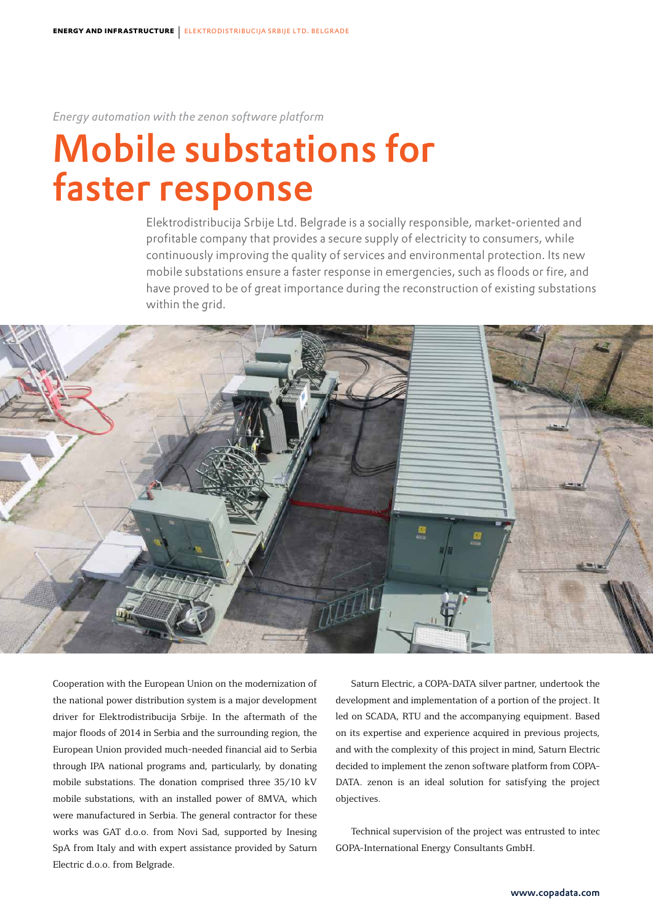*Energy automation with the zenon software platform*

# Mobile substations for faster response

Elektrodistribucija Srbije Ltd. Belgrade is a socially responsible, market-oriented and profitable company that provides a secure supply of electricity to consumers, while continuously improving the quality of services and environmental protection. Its new mobile substations ensure a faster response in emergencies, such as floods or fire, and have proved to be of great importance during the reconstruction of existing substations within the grid.



Cooperation with the European Union on the modernization of the national power distribution system is a major development driver for Elektrodistribucija Srbije. In the aftermath of the major floods of 2014 in Serbia and the surrounding region, the European Union provided much-needed financial aid to Serbia through IPA national programs and, particularly, by donating mobile substations. The donation comprised three 35/10 kV mobile substations, with an installed power of 8MVA, which were manufactured in Serbia. The general contractor for these works was GAT d.o.o. from Novi Sad, supported by Inesing SpA from Italy and with expert assistance provided by Saturn Electric d.o.o. from Belgrade.

Saturn Electric, a COPA-DATA silver partner, undertook the development and implementation of a portion of the project. It led on SCADA, RTU and the accompanying equipment. Based on its expertise and experience acquired in previous projects, and with the complexity of this project in mind, Saturn Electric decided to implement the zenon software platform from COPA-DATA. zenon is an ideal solution for satisfying the project objectives.

Technical supervision of the project was entrusted to intec GOPA-International Energy Consultants GmbH.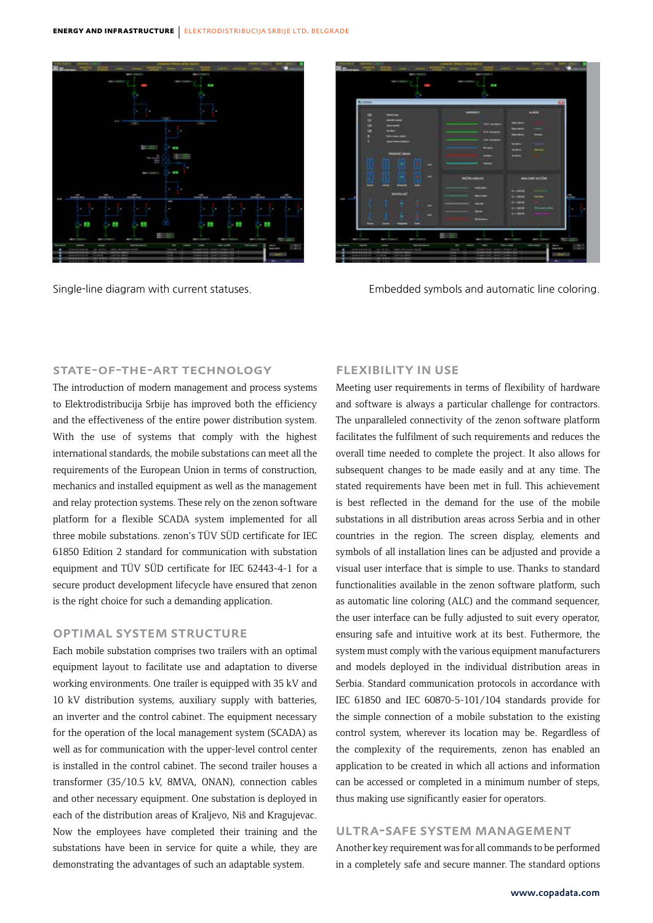



Single-line diagram with current statuses. Embedded symbols and automatic line coloring.

#### State-of-the-art technology

The introduction of modern management and process systems to Elektrodistribucija Srbije has improved both the efficiency and the effectiveness of the entire power distribution system. With the use of systems that comply with the highest international standards, the mobile substations can meet all the requirements of the European Union in terms of construction, mechanics and installed equipment as well as the management and relay protection systems. These rely on the zenon software platform for a flexible SCADA system implemented for all three mobile substations. zenon's TÜV SÜD certificate for IEC 61850 Edition 2 standard for communication with substation equipment and TÜV SÜD certificate for IEC 62443-4-1 for a secure product development lifecycle have ensured that zenon is the right choice for such a demanding application.

## Optimal system structure

Each mobile substation comprises two trailers with an optimal equipment layout to facilitate use and adaptation to diverse working environments. One trailer is equipped with 35 kV and 10 kV distribution systems, auxiliary supply with batteries, an inverter and the control cabinet. The equipment necessary for the operation of the local management system (SCADA) as well as for communication with the upper-level control center is installed in the control cabinet. The second trailer houses a transformer (35/10.5 kV, 8MVA, ONAN), connection cables and other necessary equipment. One substation is deployed in each of the distribution areas of Kraljevo, Niš and Kragujevac. Now the employees have completed their training and the substations have been in service for quite a while, they are demonstrating the advantages of such an adaptable system.

# Flexibility in use

Meeting user requirements in terms of flexibility of hardware and software is always a particular challenge for contractors. The unparalleled connectivity of the zenon software platform facilitates the fulfilment of such requirements and reduces the overall time needed to complete the project. It also allows for subsequent changes to be made easily and at any time. The stated requirements have been met in full. This achievement is best reflected in the demand for the use of the mobile substations in all distribution areas across Serbia and in other countries in the region. The screen display, elements and symbols of all installation lines can be adjusted and provide a visual user interface that is simple to use. Thanks to standard functionalities available in the zenon software platform, such as automatic line coloring (ALC) and the command sequencer, the user interface can be fully adjusted to suit every operator, ensuring safe and intuitive work at its best. Futhermore, the system must comply with the various equipment manufacturers and models deployed in the individual distribution areas in Serbia. Standard communication protocols in accordance with IEC 61850 and IEC 60870-5-101/104 standards provide for the simple connection of a mobile substation to the existing control system, wherever its location may be. Regardless of the complexity of the requirements, zenon has enabled an application to be created in which all actions and information can be accessed or completed in a minimum number of steps, thus making use significantly easier for operators.

### Ultra-safe system management

Another key requirement was for all commands to be performed in a completely safe and secure manner. The standard options